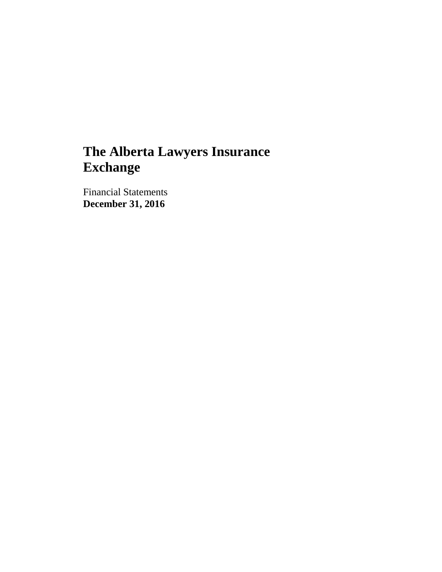Financial Statements **December 31, 2016**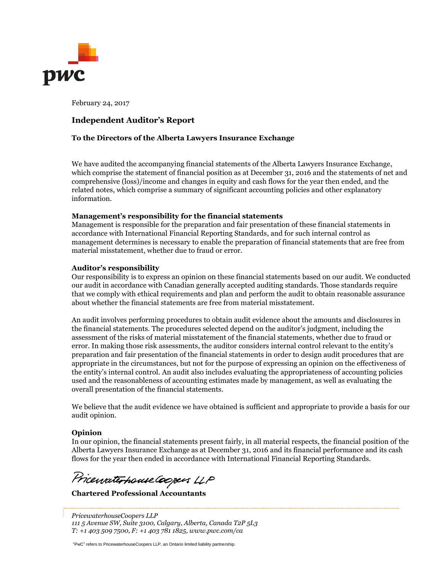

February 24, 2017

## **Independent Auditor's Report**

#### **To the Directors of the Alberta Lawyers Insurance Exchange**

We have audited the accompanying financial statements of the Alberta Lawyers Insurance Exchange, which comprise the statement of financial position as at December 31, 2016 and the statements of net and comprehensive (loss)/income and changes in equity and cash flows for the year then ended, and the related notes, which comprise a summary of significant accounting policies and other explanatory information.

#### **Management's responsibility for the financial statements**

Management is responsible for the preparation and fair presentation of these financial statements in accordance with International Financial Reporting Standards, and for such internal control as management determines is necessary to enable the preparation of financial statements that are free from material misstatement, whether due to fraud or error.

#### **Auditor's responsibility**

Our responsibility is to express an opinion on these financial statements based on our audit. We conducted our audit in accordance with Canadian generally accepted auditing standards. Those standards require that we comply with ethical requirements and plan and perform the audit to obtain reasonable assurance about whether the financial statements are free from material misstatement.

An audit involves performing procedures to obtain audit evidence about the amounts and disclosures in the financial statements. The procedures selected depend on the auditor's judgment, including the assessment of the risks of material misstatement of the financial statements, whether due to fraud or error. In making those risk assessments, the auditor considers internal control relevant to the entity's preparation and fair presentation of the financial statements in order to design audit procedures that are appropriate in the circumstances, but not for the purpose of expressing an opinion on the effectiveness of the entity's internal control. An audit also includes evaluating the appropriateness of accounting policies used and the reasonableness of accounting estimates made by management, as well as evaluating the overall presentation of the financial statements.

We believe that the audit evidence we have obtained is sufficient and appropriate to provide a basis for our audit opinion.

#### **Opinion**

In our opinion, the financial statements present fairly, in all material respects, the financial position of the Alberta Lawyers Insurance Exchange as at December 31, 2016 and its financial performance and its cash flows for the year then ended in accordance with International Financial Reporting Standards.

Pricewaterhouse Coopers LLP

**Chartered Professional Accountants**

*PricewaterhouseCoopers LLP 111 5 Avenue SW, Suite 3100, Calgary, Alberta, Canada T2P 5L3 T: +1 403 509 7500, F: +1 403 781 1825, www.pwc.com/ca*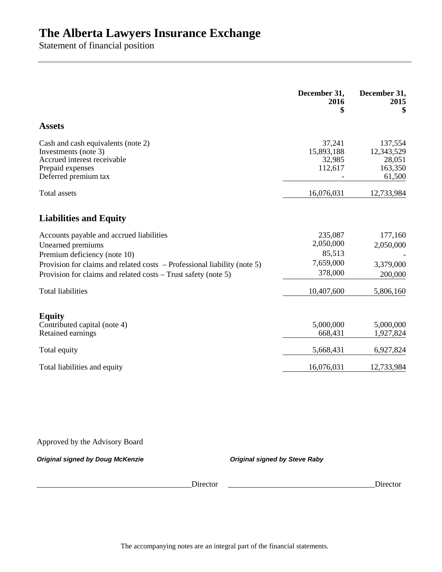Statement of financial position

|                                                                                                                                                                                                                                             | December 31,<br>2016<br>\$                             | December 31,<br>2015<br>\$                           |
|---------------------------------------------------------------------------------------------------------------------------------------------------------------------------------------------------------------------------------------------|--------------------------------------------------------|------------------------------------------------------|
| <b>Assets</b>                                                                                                                                                                                                                               |                                                        |                                                      |
| Cash and cash equivalents (note 2)<br>Investments (note 3)<br>Accrued interest receivable<br>Prepaid expenses<br>Deferred premium tax                                                                                                       | 37,241<br>15,893,188<br>32,985<br>112,617              | 137,554<br>12,343,529<br>28,051<br>163,350<br>61,500 |
| <b>Total</b> assets                                                                                                                                                                                                                         | 16,076,031                                             | 12,733,984                                           |
| <b>Liabilities and Equity</b>                                                                                                                                                                                                               |                                                        |                                                      |
| Accounts payable and accrued liabilities<br>Unearned premiums<br>Premium deficiency (note 10)<br>Provision for claims and related costs - Professional liability (note 5)<br>Provision for claims and related costs – Trust safety (note 5) | 235,087<br>2,050,000<br>85,513<br>7,659,000<br>378,000 | 177,160<br>2,050,000<br>3,379,000<br>200,000         |
| <b>Total liabilities</b>                                                                                                                                                                                                                    | 10,407,600                                             | 5,806,160                                            |
| <b>Equity</b><br>Contributed capital (note 4)<br>Retained earnings                                                                                                                                                                          | 5,000,000<br>668,431                                   | 5,000,000<br>1,927,824                               |
| Total equity                                                                                                                                                                                                                                | 5,668,431                                              | 6,927,824                                            |
| Total liabilities and equity                                                                                                                                                                                                                | 16,076,031                                             | 12,733,984                                           |

Approved by the Advisory Board

*Original signed by Doug McKenzie Original signed by Steve Raby*

Director **Director**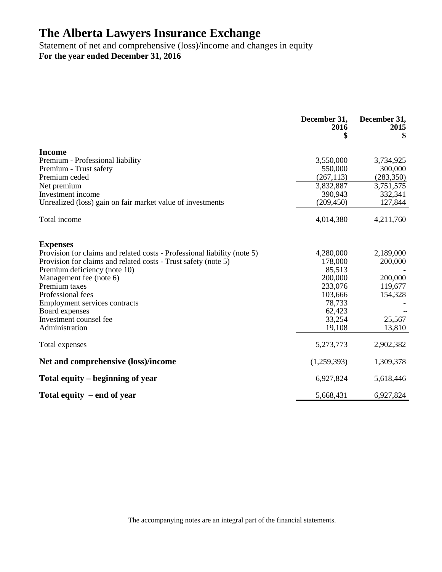Statement of net and comprehensive (loss)/income and changes in equity **For the year ended December 31, 2016**

|                                                                                                | December 31,<br>2016 | December 31,<br>2015 |
|------------------------------------------------------------------------------------------------|----------------------|----------------------|
| <b>Income</b>                                                                                  |                      |                      |
| Premium - Professional liability                                                               | 3,550,000            | 3,734,925            |
| Premium - Trust safety                                                                         | 550,000              | 300,000              |
| Premium ceded                                                                                  | (267, 113)           | (283, 350)           |
| Net premium                                                                                    | 3,832,887            | 3,751,575            |
| Investment income                                                                              | 390,943              | 332,341              |
| Unrealized (loss) gain on fair market value of investments                                     | (209, 450)           | 127,844              |
| Total income                                                                                   | 4,014,380            | 4,211,760            |
|                                                                                                |                      |                      |
| <b>Expenses</b>                                                                                |                      |                      |
| Provision for claims and related costs - Professional liability (note 5)                       | 4,280,000            | 2,189,000            |
| Provision for claims and related costs - Trust safety (note 5)<br>Premium deficiency (note 10) | 178,000<br>85,513    | 200,000              |
| Management fee (note 6)                                                                        | 200,000              | 200,000              |
| Premium taxes                                                                                  | 233,076              | 119,677              |
| Professional fees                                                                              | 103,666              | 154,328              |
| Employment services contracts                                                                  | 78,733               |                      |
| Board expenses                                                                                 | 62,423               |                      |
| Investment counsel fee                                                                         | 33,254               | 25,567               |
| Administration                                                                                 | 19,108               | 13,810               |
| Total expenses                                                                                 | 5,273,773            | 2,902,382            |
| Net and comprehensive (loss)/income                                                            | (1,259,393)          | 1,309,378            |
| Total equity – beginning of year                                                               | 6,927,824            | 5,618,446            |
| Total equity $-$ end of year                                                                   | 5,668,431            | 6,927,824            |

The accompanying notes are an integral part of the financial statements.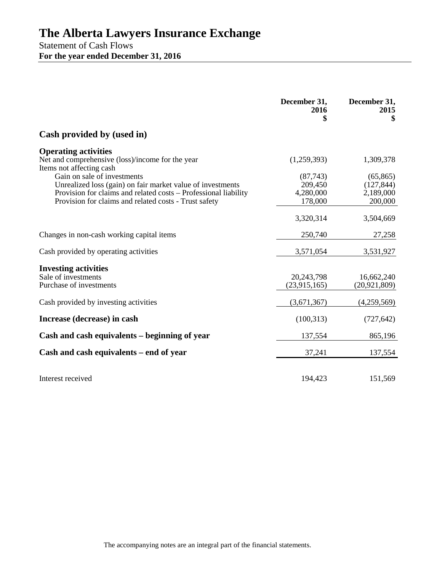Statement of Cash Flows **For the year ended December 31, 2016**

|                                                                                                                                                                                                                       | December 31,<br>2016<br>\$                   | December 31,<br>2015<br>\$                      |
|-----------------------------------------------------------------------------------------------------------------------------------------------------------------------------------------------------------------------|----------------------------------------------|-------------------------------------------------|
| Cash provided by (used in)                                                                                                                                                                                            |                                              |                                                 |
| <b>Operating activities</b><br>Net and comprehensive (loss)/income for the year<br>Items not affecting cash                                                                                                           | (1,259,393)                                  | 1,309,378                                       |
| Gain on sale of investments<br>Unrealized loss (gain) on fair market value of investments<br>Provision for claims and related costs - Professional liability<br>Provision for claims and related costs - Trust safety | (87, 743)<br>209,450<br>4,280,000<br>178,000 | (65, 865)<br>(127, 844)<br>2,189,000<br>200,000 |
|                                                                                                                                                                                                                       | 3,320,314                                    | 3,504,669                                       |
| Changes in non-cash working capital items                                                                                                                                                                             | 250,740                                      | 27,258                                          |
| Cash provided by operating activities                                                                                                                                                                                 | 3,571,054                                    | 3,531,927                                       |
| <b>Investing activities</b><br>Sale of investments<br>Purchase of investments                                                                                                                                         | 20,243,798<br>(23, 915, 165)                 | 16,662,240<br>(20, 921, 809)                    |
| Cash provided by investing activities                                                                                                                                                                                 | (3,671,367)                                  | (4,259,569)                                     |
| Increase (decrease) in cash                                                                                                                                                                                           | (100, 313)                                   | (727, 642)                                      |
| Cash and cash equivalents – beginning of year                                                                                                                                                                         | 137,554                                      | 865,196                                         |
| Cash and cash equivalents – end of year                                                                                                                                                                               | 37,241                                       | 137,554                                         |
| Interest received                                                                                                                                                                                                     | 194,423                                      | 151,569                                         |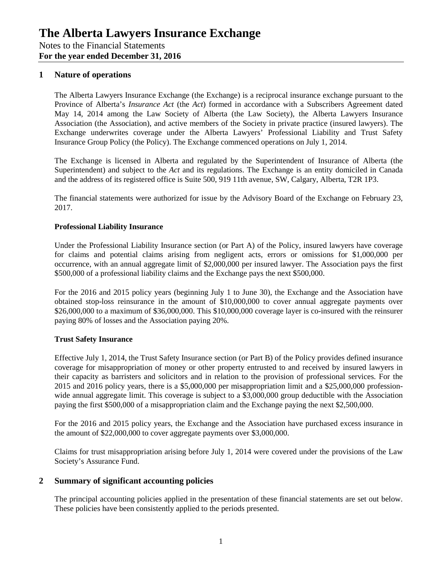## **1 Nature of operations**

The Alberta Lawyers Insurance Exchange (the Exchange) is a reciprocal insurance exchange pursuant to the Province of Alberta's *Insurance Act* (the *Act*) formed in accordance with a Subscribers Agreement dated May 14, 2014 among the Law Society of Alberta (the Law Society), the Alberta Lawyers Insurance Association (the Association), and active members of the Society in private practice (insured lawyers). The Exchange underwrites coverage under the Alberta Lawyers' Professional Liability and Trust Safety Insurance Group Policy (the Policy). The Exchange commenced operations on July 1, 2014.

The Exchange is licensed in Alberta and regulated by the Superintendent of Insurance of Alberta (the Superintendent) and subject to the *Act* and its regulations. The Exchange is an entity domiciled in Canada and the address of its registered office is Suite 500, 919 11th avenue, SW, Calgary, Alberta, T2R 1P3.

The financial statements were authorized for issue by the Advisory Board of the Exchange on February 23, 2017.

### **Professional Liability Insurance**

Under the Professional Liability Insurance section (or Part A) of the Policy, insured lawyers have coverage for claims and potential claims arising from negligent acts, errors or omissions for \$1,000,000 per occurrence, with an annual aggregate limit of \$2,000,000 per insured lawyer. The Association pays the first \$500,000 of a professional liability claims and the Exchange pays the next \$500,000.

For the 2016 and 2015 policy years (beginning July 1 to June 30), the Exchange and the Association have obtained stop-loss reinsurance in the amount of \$10,000,000 to cover annual aggregate payments over \$26,000,000 to a maximum of \$36,000,000. This \$10,000,000 coverage layer is co-insured with the reinsurer paying 80% of losses and the Association paying 20%.

### **Trust Safety Insurance**

Effective July 1, 2014, the Trust Safety Insurance section (or Part B) of the Policy provides defined insurance coverage for misappropriation of money or other property entrusted to and received by insured lawyers in their capacity as barristers and solicitors and in relation to the provision of professional services. For the 2015 and 2016 policy years, there is a \$5,000,000 per misappropriation limit and a \$25,000,000 professionwide annual aggregate limit. This coverage is subject to a \$3,000,000 group deductible with the Association paying the first \$500,000 of a misappropriation claim and the Exchange paying the next \$2,500,000.

For the 2016 and 2015 policy years, the Exchange and the Association have purchased excess insurance in the amount of \$22,000,000 to cover aggregate payments over \$3,000,000.

Claims for trust misappropriation arising before July 1, 2014 were covered under the provisions of the Law Society's Assurance Fund.

### **2 Summary of significant accounting policies**

The principal accounting policies applied in the presentation of these financial statements are set out below. These policies have been consistently applied to the periods presented.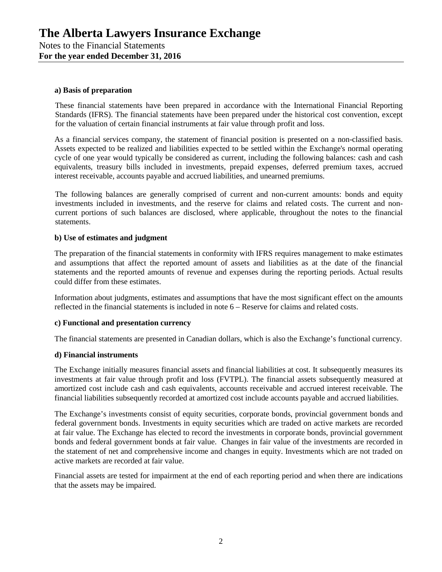#### **a) Basis of preparation**

These financial statements have been prepared in accordance with the International Financial Reporting Standards (IFRS). The financial statements have been prepared under the historical cost convention, except for the valuation of certain financial instruments at fair value through profit and loss.

As a financial services company, the statement of financial position is presented on a non-classified basis. Assets expected to be realized and liabilities expected to be settled within the Exchange's normal operating cycle of one year would typically be considered as current, including the following balances: cash and cash equivalents, treasury bills included in investments, prepaid expenses, deferred premium taxes, accrued interest receivable, accounts payable and accrued liabilities, and unearned premiums.

The following balances are generally comprised of current and non-current amounts: bonds and equity investments included in investments, and the reserve for claims and related costs. The current and noncurrent portions of such balances are disclosed, where applicable, throughout the notes to the financial statements.

#### **b) Use of estimates and judgment**

The preparation of the financial statements in conformity with IFRS requires management to make estimates and assumptions that affect the reported amount of assets and liabilities as at the date of the financial statements and the reported amounts of revenue and expenses during the reporting periods. Actual results could differ from these estimates.

Information about judgments, estimates and assumptions that have the most significant effect on the amounts reflected in the financial statements is included in note 6 – Reserve for claims and related costs.

#### **c) Functional and presentation currency**

The financial statements are presented in Canadian dollars, which is also the Exchange's functional currency.

#### **d) Financial instruments**

The Exchange initially measures financial assets and financial liabilities at cost. It subsequently measures its investments at fair value through profit and loss (FVTPL). The financial assets subsequently measured at amortized cost include cash and cash equivalents, accounts receivable and accrued interest receivable. The financial liabilities subsequently recorded at amortized cost include accounts payable and accrued liabilities.

The Exchange's investments consist of equity securities, corporate bonds, provincial government bonds and federal government bonds. Investments in equity securities which are traded on active markets are recorded at fair value. The Exchange has elected to record the investments in corporate bonds, provincial government bonds and federal government bonds at fair value. Changes in fair value of the investments are recorded in the statement of net and comprehensive income and changes in equity. Investments which are not traded on active markets are recorded at fair value.

Financial assets are tested for impairment at the end of each reporting period and when there are indications that the assets may be impaired.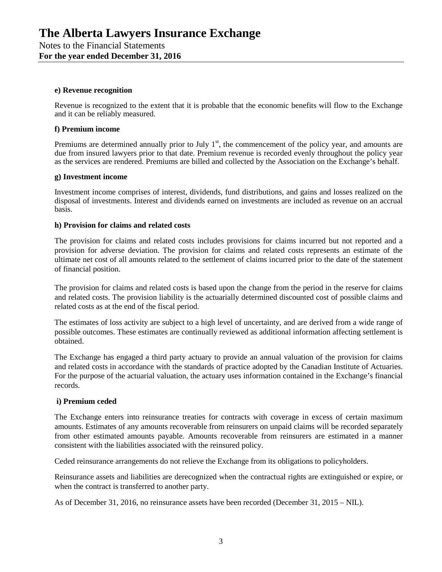#### **e) Revenue recognition**

Revenue is recognized to the extent that it is probable that the economic benefits will flow to the Exchange and it can be reliably measured.

#### **f) Premium income**

Premiums are determined annually prior to July  $1<sup>st</sup>$ , the commencement of the policy year, and amounts are due from insured lawyers prior to that date. Premium revenue is recorded evenly throughout the policy year as the services are rendered. Premiums are billed and collected by the Association on the Exchange's behalf.

#### **g) Investment income**

Investment income comprises of interest, dividends, fund distributions, and gains and losses realized on the disposal of investments. Interest and dividends earned on investments are included as revenue on an accrual basis.

#### **h) Provision for claims and related costs**

The provision for claims and related costs includes provisions for claims incurred but not reported and a provision for adverse deviation. The provision for claims and related costs represents an estimate of the ultimate net cost of all amounts related to the settlement of claims incurred prior to the date of the statement of financial position.

The provision for claims and related costs is based upon the change from the period in the reserve for claims and related costs. The provision liability is the actuarially determined discounted cost of possible claims and related costs as at the end of the fiscal period.

The estimates of loss activity are subject to a high level of uncertainty, and are derived from a wide range of possible outcomes. These estimates are continually reviewed as additional information affecting settlement is obtained.

The Exchange has engaged a third party actuary to provide an annual valuation of the provision for claims and related costs in accordance with the standards of practice adopted by the Canadian Institute of Actuaries. For the purpose of the actuarial valuation, the actuary uses information contained in the Exchange's financial records.

### **i) Premium ceded**

The Exchange enters into reinsurance treaties for contracts with coverage in excess of certain maximum amounts. Estimates of any amounts recoverable from reinsurers on unpaid claims will be recorded separately from other estimated amounts payable. Amounts recoverable from reinsurers are estimated in a manner consistent with the liabilities associated with the reinsured policy.

Ceded reinsurance arrangements do not relieve the Exchange from its obligations to policyholders.

Reinsurance assets and liabilities are derecognized when the contractual rights are extinguished or expire, or when the contract is transferred to another party.

As of December 31, 2016, no reinsurance assets have been recorded (December 31, 2015 – NIL).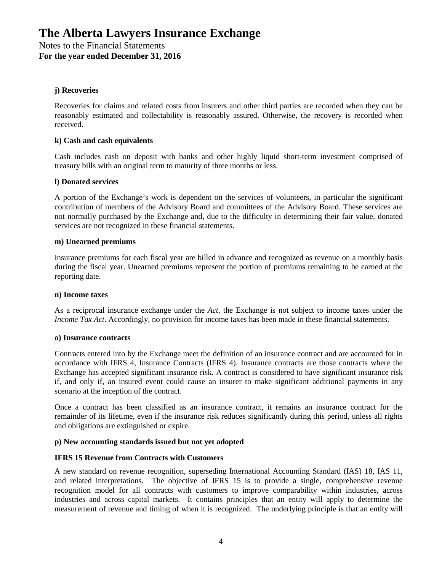## **j) Recoveries**

Recoveries for claims and related costs from insurers and other third parties are recorded when they can be reasonably estimated and collectability is reasonably assured. Otherwise, the recovery is recorded when received.

### **k) Cash and cash equivalents**

Cash includes cash on deposit with banks and other highly liquid short-term investment comprised of treasury bills with an original term to maturity of three months or less.

#### **l) Donated services**

A portion of the Exchange's work is dependent on the services of volunteers, in particular the significant contribution of members of the Advisory Board and committees of the Advisory Board. These services are not normally purchased by the Exchange and, due to the difficulty in determining their fair value, donated services are not recognized in these financial statements.

#### **m) Unearned premiums**

Insurance premiums for each fiscal year are billed in advance and recognized as revenue on a monthly basis during the fiscal year. Unearned premiums represent the portion of premiums remaining to be earned at the reporting date.

#### **n) Income taxes**

As a reciprocal insurance exchange under the *Act*, the Exchange is not subject to income taxes under the *Income Tax Act*. Accordingly, no provision for income taxes has been made in these financial statements.

#### **o) Insurance contracts**

Contracts entered into by the Exchange meet the definition of an insurance contract and are accounted for in accordance with IFRS 4, Insurance Contracts (IFRS 4). Insurance contracts are those contracts where the Exchange has accepted significant insurance risk. A contract is considered to have significant insurance risk if, and only if, an insured event could cause an insurer to make significant additional payments in any scenario at the inception of the contract.

Once a contract has been classified as an insurance contract, it remains an insurance contract for the remainder of its lifetime, even if the insurance risk reduces significantly during this period, unless all rights and obligations are extinguished or expire.

### **p) New accounting standards issued but not yet adopted**

### **IFRS 15 Revenue from Contracts with Customers**

A new standard on revenue recognition, superseding International Accounting Standard (IAS) 18, IAS 11, and related interpretations. The objective of IFRS 15 is to provide a single, comprehensive revenue recognition model for all contracts with customers to improve comparability within industries, across industries and across capital markets. It contains principles that an entity will apply to determine the measurement of revenue and timing of when it is recognized. The underlying principle is that an entity will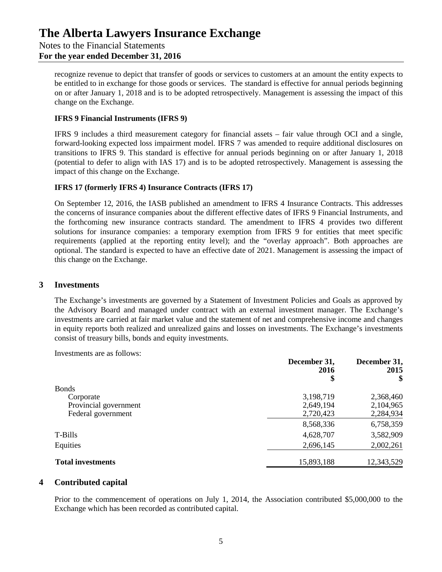recognize revenue to depict that transfer of goods or services to customers at an amount the entity expects to be entitled to in exchange for those goods or services. The standard is effective for annual periods beginning on or after January 1, 2018 and is to be adopted retrospectively. Management is assessing the impact of this change on the Exchange.

## **IFRS 9 Financial Instruments (IFRS 9)**

IFRS 9 includes a third measurement category for financial assets – fair value through OCI and a single, forward-looking expected loss impairment model. IFRS 7 was amended to require additional disclosures on transitions to IFRS 9. This standard is effective for annual periods beginning on or after January 1, 2018 (potential to defer to align with IAS 17) and is to be adopted retrospectively. Management is assessing the impact of this change on the Exchange.

## **IFRS 17 (formerly IFRS 4) Insurance Contracts (IFRS 17)**

On September 12, 2016, the IASB published an amendment to IFRS 4 Insurance Contracts. This addresses the concerns of insurance companies about the different effective dates of IFRS 9 Financial Instruments, and the forthcoming new insurance contracts standard. The amendment to IFRS 4 provides two different solutions for insurance companies: a temporary exemption from IFRS 9 for entities that meet specific requirements (applied at the reporting entity level); and the "overlay approach". Both approaches are optional. The standard is expected to have an effective date of 2021. Management is assessing the impact of this change on the Exchange.

## **3 Investments**

The Exchange's investments are governed by a Statement of Investment Policies and Goals as approved by the Advisory Board and managed under contract with an external investment manager. The Exchange's investments are carried at fair market value and the statement of net and comprehensive income and changes in equity reports both realized and unrealized gains and losses on investments. The Exchange's investments consist of treasury bills, bonds and equity investments.

Investments are as follows:

|                          | December 31,<br>2016<br>\$ | December 31,<br>2015<br>\$ |
|--------------------------|----------------------------|----------------------------|
| <b>Bonds</b>             |                            |                            |
| Corporate                | 3,198,719                  | 2,368,460                  |
| Provincial government    | 2,649,194                  | 2,104,965                  |
| Federal government       | 2,720,423                  | 2,284,934                  |
|                          | 8,568,336                  | 6,758,359                  |
| T-Bills                  | 4,628,707                  | 3,582,909                  |
| Equities                 | 2,696,145                  | 2,002,261                  |
| <b>Total investments</b> | 15,893,188                 | 12,343,529                 |

## **4 Contributed capital**

Prior to the commencement of operations on July 1, 2014, the Association contributed \$5,000,000 to the Exchange which has been recorded as contributed capital.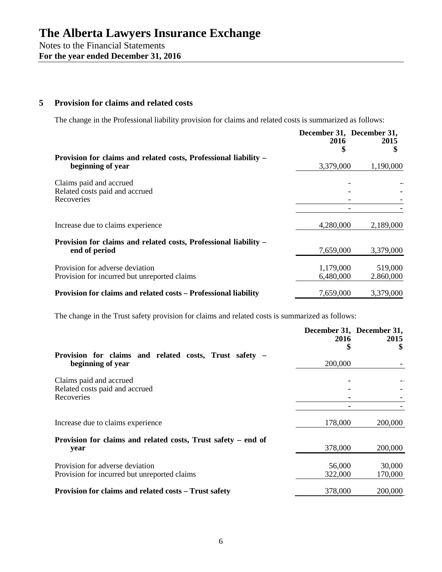### **5 Provision for claims and related costs**

The change in the Professional liability provision for claims and related costs is summarized as follows:

|                                                                                       |                        | December 31, December 31, |  |  |
|---------------------------------------------------------------------------------------|------------------------|---------------------------|--|--|
|                                                                                       | 2016                   | 2015                      |  |  |
| Provision for claims and related costs, Professional liability –<br>beginning of year | 3,379,000              | 1,190,000                 |  |  |
| Claims paid and accrued<br>Related costs paid and accrued<br>Recoveries               |                        |                           |  |  |
|                                                                                       |                        |                           |  |  |
| Increase due to claims experience                                                     | 4,280,000              | 2,189,000                 |  |  |
| Provision for claims and related costs, Professional liability –<br>end of period     | 7,659,000              | 3,379,000                 |  |  |
| Provision for adverse deviation<br>Provision for incurred but unreported claims       | 1,179,000<br>6,480,000 | 519,000<br>2.860,000      |  |  |
| Provision for claims and related costs – Professional liability                       | 7,659,000              | 3,379,000                 |  |  |

The change in the Trust safety provision for claims and related costs is summarized as follows:

|                                                               | 2016    | December 31, December 31,<br>2015 |
|---------------------------------------------------------------|---------|-----------------------------------|
| Provision for claims and related costs, Trust safety –        | \$      |                                   |
| beginning of year                                             | 200,000 |                                   |
| Claims paid and accrued                                       |         |                                   |
| Related costs paid and accrued<br>Recoveries                  |         |                                   |
|                                                               |         |                                   |
| Increase due to claims experience                             | 178,000 | 200,000                           |
| Provision for claims and related costs, Trust safety – end of |         |                                   |
| year                                                          | 378,000 | 200,000                           |
| Provision for adverse deviation                               | 56,000  | 30,000                            |
| Provision for incurred but unreported claims                  | 322,000 | 170,000                           |
| Provision for claims and related costs – Trust safety         | 378,000 | 200,000                           |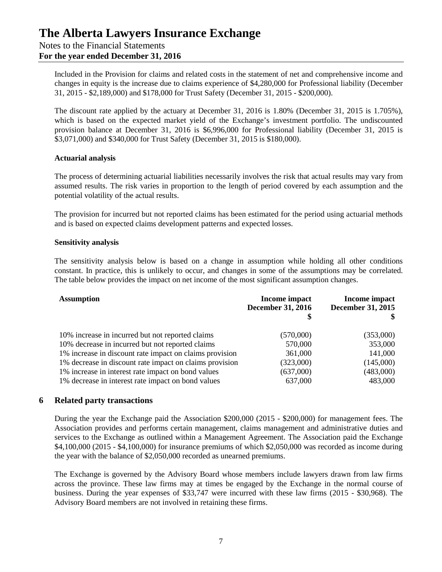Included in the Provision for claims and related costs in the statement of net and comprehensive income and changes in equity is the increase due to claims experience of \$4,280,000 for Professional liability (December 31, 2015 - \$2,189,000) and \$178,000 for Trust Safety (December 31, 2015 - \$200,000).

The discount rate applied by the actuary at December 31, 2016 is 1.80% (December 31, 2015 is 1.705%), which is based on the expected market yield of the Exchange's investment portfolio. The undiscounted provision balance at December 31, 2016 is \$6,996,000 for Professional liability (December 31, 2015 is \$3,071,000) and \$340,000 for Trust Safety (December 31, 2015 is \$180,000).

### **Actuarial analysis**

The process of determining actuarial liabilities necessarily involves the risk that actual results may vary from assumed results. The risk varies in proportion to the length of period covered by each assumption and the potential volatility of the actual results.

The provision for incurred but not reported claims has been estimated for the period using actuarial methods and is based on expected claims development patterns and expected losses.

## **Sensitivity analysis**

The sensitivity analysis below is based on a change in assumption while holding all other conditions constant. In practice, this is unlikely to occur, and changes in some of the assumptions may be correlated. The table below provides the impact on net income of the most significant assumption changes.

| <b>Assumption</b>                                       | <b>Income impact</b><br><b>December 31, 2016</b> | Income impact<br><b>December 31, 2015</b> |
|---------------------------------------------------------|--------------------------------------------------|-------------------------------------------|
| 10% increase in incurred but not reported claims        | (570,000)                                        | (353,000)                                 |
| 10% decrease in incurred but not reported claims        | 570,000                                          | 353,000                                   |
| 1% increase in discount rate impact on claims provision | 361,000                                          | 141,000                                   |
| 1% decrease in discount rate impact on claims provision | (323,000)                                        | (145,000)                                 |
| 1% increase in interest rate impact on bond values      | (637,000)                                        | (483,000)                                 |
| 1% decrease in interest rate impact on bond values      | 637,000                                          | 483,000                                   |

## **6 Related party transactions**

During the year the Exchange paid the Association \$200,000 (2015 - \$200,000) for management fees. The Association provides and performs certain management, claims management and administrative duties and services to the Exchange as outlined within a Management Agreement. The Association paid the Exchange \$4,100,000 (2015 - \$4,100,000) for insurance premiums of which \$2,050,000 was recorded as income during the year with the balance of \$2,050,000 recorded as unearned premiums.

The Exchange is governed by the Advisory Board whose members include lawyers drawn from law firms across the province. These law firms may at times be engaged by the Exchange in the normal course of business. During the year expenses of \$33,747 were incurred with these law firms (2015 - \$30,968). The Advisory Board members are not involved in retaining these firms.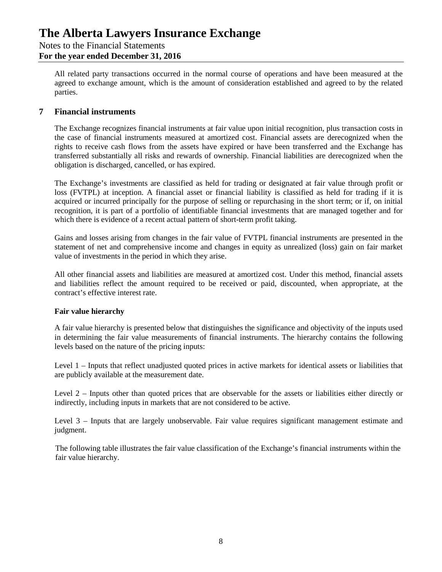## Notes to the Financial Statements

## **For the year ended December 31, 2016**

All related party transactions occurred in the normal course of operations and have been measured at the agreed to exchange amount, which is the amount of consideration established and agreed to by the related parties.

## **7 Financial instruments**

The Exchange recognizes financial instruments at fair value upon initial recognition, plus transaction costs in the case of financial instruments measured at amortized cost. Financial assets are derecognized when the rights to receive cash flows from the assets have expired or have been transferred and the Exchange has transferred substantially all risks and rewards of ownership. Financial liabilities are derecognized when the obligation is discharged, cancelled, or has expired.

The Exchange's investments are classified as held for trading or designated at fair value through profit or loss (FVTPL) at inception. A financial asset or financial liability is classified as held for trading if it is acquired or incurred principally for the purpose of selling or repurchasing in the short term; or if, on initial recognition, it is part of a portfolio of identifiable financial investments that are managed together and for which there is evidence of a recent actual pattern of short-term profit taking.

Gains and losses arising from changes in the fair value of FVTPL financial instruments are presented in the statement of net and comprehensive income and changes in equity as unrealized (loss) gain on fair market value of investments in the period in which they arise.

All other financial assets and liabilities are measured at amortized cost. Under this method, financial assets and liabilities reflect the amount required to be received or paid, discounted, when appropriate, at the contract's effective interest rate.

## **Fair value hierarchy**

A fair value hierarchy is presented below that distinguishes the significance and objectivity of the inputs used in determining the fair value measurements of financial instruments. The hierarchy contains the following levels based on the nature of the pricing inputs:

Level 1 – Inputs that reflect unadjusted quoted prices in active markets for identical assets or liabilities that are publicly available at the measurement date.

Level 2 – Inputs other than quoted prices that are observable for the assets or liabilities either directly or indirectly, including inputs in markets that are not considered to be active.

Level 3 – Inputs that are largely unobservable. Fair value requires significant management estimate and judgment.

The following table illustrates the fair value classification of the Exchange's financial instruments within the fair value hierarchy.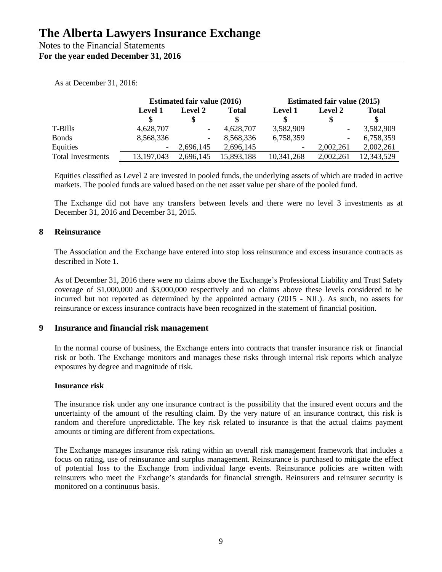Notes to the Financial Statements **For the year ended December 31, 2016**

As at December 31, 2016:

|                          | <b>Estimated fair value (2016)</b> |                | <b>Estimated fair value (2015)</b> |                |                              |              |
|--------------------------|------------------------------------|----------------|------------------------------------|----------------|------------------------------|--------------|
|                          | <b>Level 1</b>                     | <b>Level 2</b> | <b>Total</b>                       | <b>Level 1</b> | <b>Level 2</b>               | <b>Total</b> |
|                          |                                    |                |                                    |                | S                            | S            |
| T-Bills                  | 4,628,707                          |                | 4,628,707                          | 3,582,909      | $\qquad \qquad \blacksquare$ | 3,582,909    |
| <b>Bonds</b>             | 8,568,336                          | ۰.             | 8,568,336                          | 6,758,359      | -                            | 6,758,359    |
| Equities                 |                                    | 2,696,145      | 2,696,145                          |                | 2,002,261                    | 2,002,261    |
| <b>Total Investments</b> | 13, 197, 043                       | 2,696,145      | 15,893,188                         | 10,341,268     | 2,002,261                    | 12,343,529   |

Equities classified as Level 2 are invested in pooled funds, the underlying assets of which are traded in active markets. The pooled funds are valued based on the net asset value per share of the pooled fund.

The Exchange did not have any transfers between levels and there were no level 3 investments as at December 31, 2016 and December 31, 2015.

## **8 Reinsurance**

The Association and the Exchange have entered into stop loss reinsurance and excess insurance contracts as described in Note 1.

As of December 31, 2016 there were no claims above the Exchange's Professional Liability and Trust Safety coverage of \$1,000,000 and \$3,000,000 respectively and no claims above these levels considered to be incurred but not reported as determined by the appointed actuary (2015 - NIL). As such, no assets for reinsurance or excess insurance contracts have been recognized in the statement of financial position.

## **9 Insurance and financial risk management**

In the normal course of business, the Exchange enters into contracts that transfer insurance risk or financial risk or both. The Exchange monitors and manages these risks through internal risk reports which analyze exposures by degree and magnitude of risk.

### **Insurance risk**

The insurance risk under any one insurance contract is the possibility that the insured event occurs and the uncertainty of the amount of the resulting claim. By the very nature of an insurance contract, this risk is random and therefore unpredictable. The key risk related to insurance is that the actual claims payment amounts or timing are different from expectations.

The Exchange manages insurance risk rating within an overall risk management framework that includes a focus on rating, use of reinsurance and surplus management. Reinsurance is purchased to mitigate the effect of potential loss to the Exchange from individual large events. Reinsurance policies are written with reinsurers who meet the Exchange's standards for financial strength. Reinsurers and reinsurer security is monitored on a continuous basis.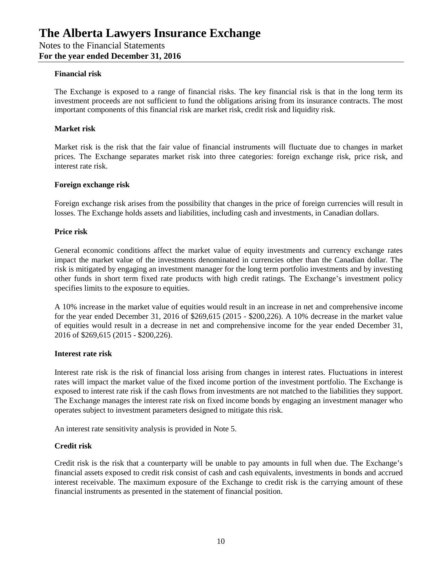### **Financial risk**

The Exchange is exposed to a range of financial risks. The key financial risk is that in the long term its investment proceeds are not sufficient to fund the obligations arising from its insurance contracts. The most important components of this financial risk are market risk, credit risk and liquidity risk.

#### **Market risk**

Market risk is the risk that the fair value of financial instruments will fluctuate due to changes in market prices. The Exchange separates market risk into three categories: foreign exchange risk, price risk, and interest rate risk.

#### **Foreign exchange risk**

Foreign exchange risk arises from the possibility that changes in the price of foreign currencies will result in losses. The Exchange holds assets and liabilities, including cash and investments, in Canadian dollars.

#### **Price risk**

General economic conditions affect the market value of equity investments and currency exchange rates impact the market value of the investments denominated in currencies other than the Canadian dollar. The risk is mitigated by engaging an investment manager for the long term portfolio investments and by investing other funds in short term fixed rate products with high credit ratings. The Exchange's investment policy specifies limits to the exposure to equities.

A 10% increase in the market value of equities would result in an increase in net and comprehensive income for the year ended December 31, 2016 of \$269,615 (2015 - \$200,226). A 10% decrease in the market value of equities would result in a decrease in net and comprehensive income for the year ended December 31, 2016 of \$269,615 (2015 - \$200,226).

#### **Interest rate risk**

Interest rate risk is the risk of financial loss arising from changes in interest rates. Fluctuations in interest rates will impact the market value of the fixed income portion of the investment portfolio. The Exchange is exposed to interest rate risk if the cash flows from investments are not matched to the liabilities they support. The Exchange manages the interest rate risk on fixed income bonds by engaging an investment manager who operates subject to investment parameters designed to mitigate this risk.

An interest rate sensitivity analysis is provided in Note 5.

### **Credit risk**

Credit risk is the risk that a counterparty will be unable to pay amounts in full when due. The Exchange's financial assets exposed to credit risk consist of cash and cash equivalents, investments in bonds and accrued interest receivable. The maximum exposure of the Exchange to credit risk is the carrying amount of these financial instruments as presented in the statement of financial position.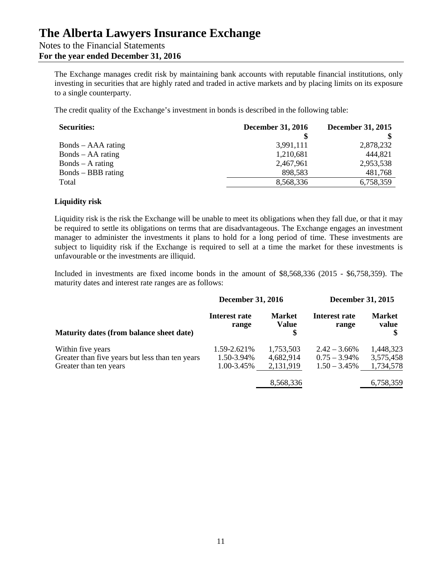## **The Alberta Lawyers Insurance Exchange** Notes to the Financial Statements **For the year ended December 31, 2016**

The Exchange manages credit risk by maintaining bank accounts with reputable financial institutions, only investing in securities that are highly rated and traded in active markets and by placing limits on its exposure to a single counterparty.

The credit quality of the Exchange's investment in bonds is described in the following table:

| <b>Securities:</b>  | <b>December 31, 2016</b> | December 31, 2015 |  |
|---------------------|--------------------------|-------------------|--|
|                     |                          |                   |  |
| Bonds – AAA rating  | 3,991,111                | 2,878,232         |  |
| $Bonds - AA rating$ | 1,210,681                | 444,821           |  |
| $Bonds - A rating$  | 2,467,961                | 2,953,538         |  |
| Bonds – BBB rating  | 898,583                  | 481,768           |  |
| Total               | 8,568,336                | 6,758,359         |  |

### **Liquidity risk**

Liquidity risk is the risk the Exchange will be unable to meet its obligations when they fall due, or that it may be required to settle its obligations on terms that are disadvantageous. The Exchange engages an investment manager to administer the investments it plans to hold for a long period of time. These investments are subject to liquidity risk if the Exchange is required to sell at a time the market for these investments is unfavourable or the investments are illiquid.

Included in investments are fixed income bonds in the amount of \$8,568,336 (2015 - \$6,758,359). The maturity dates and interest rate ranges are as follows:

|                                                 | <b>December 31, 2016</b> |                               | <b>December 31, 2015</b> |                        |  |
|-------------------------------------------------|--------------------------|-------------------------------|--------------------------|------------------------|--|
| Maturity dates (from balance sheet date)        | Interest rate<br>range   | <b>Market</b><br><b>Value</b> | Interest rate<br>range   | <b>Market</b><br>value |  |
| Within five years                               | 1.59-2.621%              | 1,753,503                     | $2.42 - 3.66\%$          | 1,448,323              |  |
| Greater than five years but less than ten years | 1.50-3.94%               | 4,682,914                     | $0.75 - 3.94\%$          | 3,575,458              |  |
| Greater than ten years                          | 1.00-3.45%               | 2,131,919                     | $1.50 - 3.45\%$          | 1,734,578              |  |
|                                                 |                          | 8,568,336                     |                          | 6,758,359              |  |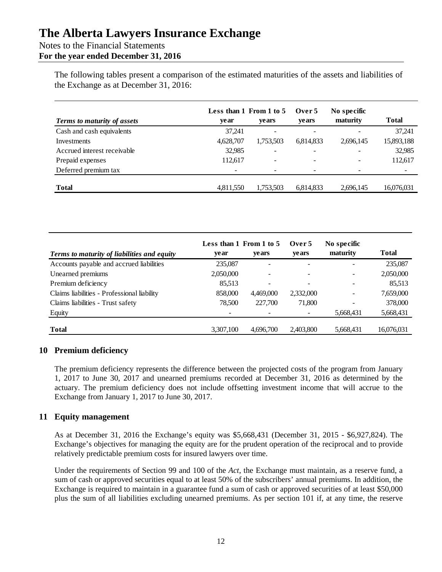## Notes to the Financial Statements **For the year ended December 31, 2016**

The following tables present a comparison of the estimated maturities of the assets and liabilities of the Exchange as at December 31, 2016:

| <b>Terms to maturity of assets</b> | Less than 1 From 1 to 5<br>vear | <b>vears</b>             | Over 5<br>vears          | No specific<br>maturity | Total                    |
|------------------------------------|---------------------------------|--------------------------|--------------------------|-------------------------|--------------------------|
| Cash and cash equivalents          | 37.241                          | $\overline{\phantom{a}}$ | $\overline{\phantom{0}}$ |                         | 37,241                   |
| Investments                        | 4,628,707                       | 1,753,503                | 6,814,833                | 2,696,145               | 15,893,188               |
| Accrued interest receivable        | 32,985                          | $\overline{\phantom{0}}$ |                          |                         | 32,985                   |
| Prepaid expenses                   | 112,617                         | $\overline{\phantom{0}}$ | -                        |                         | 112,617                  |
| Deferred premium tax               | $\overline{\phantom{0}}$        | -                        | -                        |                         | $\overline{\phantom{a}}$ |
| <b>Total</b>                       | 4,811,550                       | 1,753,503                | 6,814,833                | 2,696,145               | 16,076,031               |

|                                             | Less than 1 From 1 to 5  |                          | Over 5                   | No specific |              |
|---------------------------------------------|--------------------------|--------------------------|--------------------------|-------------|--------------|
| Terms to maturity of liabilities and equity | ve ar                    | vears                    | <b>vears</b>             | maturity    | <b>Total</b> |
| Accounts payable and accrued liabilities    | 235,087                  | ۰                        |                          |             | 235,087      |
| Unearned premiums                           | 2,050,000                | $\overline{\phantom{a}}$ |                          |             | 2,050,000    |
| Premium deficiency                          | 85,513                   | $\overline{\phantom{a}}$ | $\overline{\phantom{0}}$ |             | 85,513       |
| Claims liabilities - Professional liability | 858,000                  | 4,469,000                | 2,332,000                |             | 7,659,000    |
| Claims liabilities - Trust safety           | 78,500                   | 227,700                  | 71,800                   |             | 378,000      |
| Equity                                      | $\overline{\phantom{a}}$ | $\overline{\phantom{a}}$ |                          | 5,668,431   | 5,668,431    |
|                                             |                          |                          |                          |             |              |
| <b>Total</b>                                | 3,307,100                | 4,696,700                | 2,403,800                | 5,668,431   | 16,076,031   |

## **10 Premium deficiency**

The premium deficiency represents the difference between the projected costs of the program from January 1, 2017 to June 30, 2017 and unearned premiums recorded at December 31, 2016 as determined by the actuary. The premium deficiency does not include offsetting investment income that will accrue to the Exchange from January 1, 2017 to June 30, 2017.

## **11 Equity management**

As at December 31, 2016 the Exchange's equity was \$5,668,431 (December 31, 2015 - \$6,927,824). The Exchange's objectives for managing the equity are for the prudent operation of the reciprocal and to provide relatively predictable premium costs for insured lawyers over time.

Under the requirements of Section 99 and 100 of the *Act*, the Exchange must maintain, as a reserve fund, a sum of cash or approved securities equal to at least 50% of the subscribers' annual premiums. In addition, the Exchange is required to maintain in a guarantee fund a sum of cash or approved securities of at least \$50,000 plus the sum of all liabilities excluding unearned premiums. As per section 101 if, at any time, the reserve